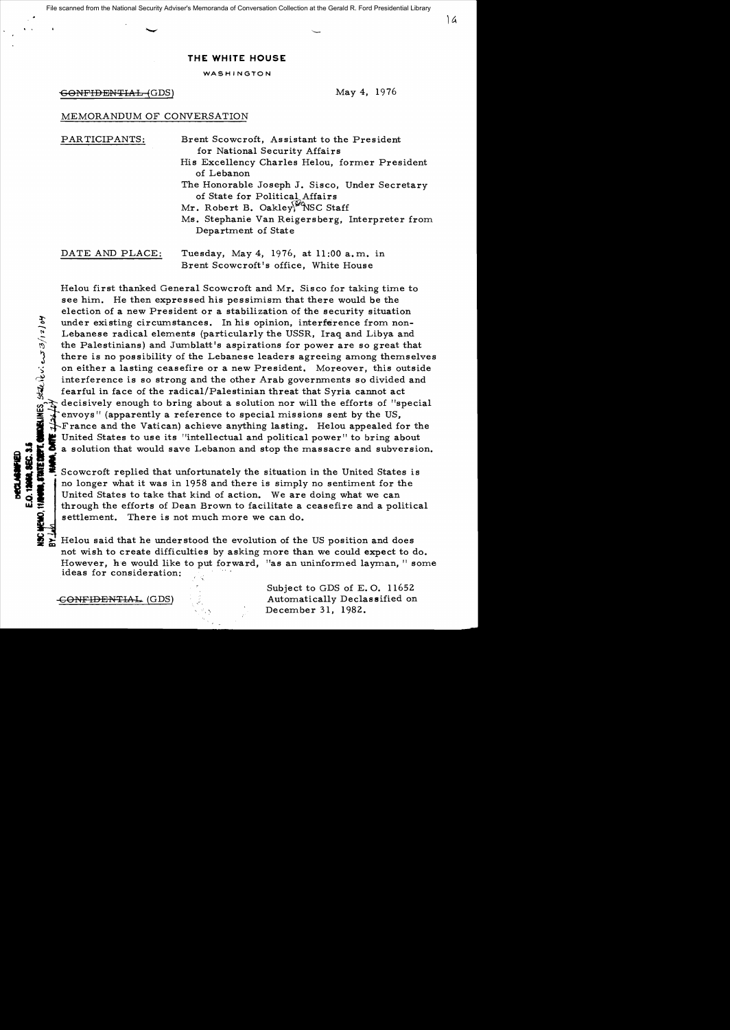## **THE WHITE HOUSE**

WASHINGTON

-CONFIDENTIAL (GDS) May 4, 1976

:t

 $\%$ 

T. CHARELIN<br>Mife <sub>7 (2)</sub>

## MEMORANDUM OF CONVERSATION

| PARTICIPANTS:   | Brent Scowcroft, Assistant to the President<br>for National Security Affairs                                        |
|-----------------|---------------------------------------------------------------------------------------------------------------------|
|                 | His Excellency Charles Helou, former President<br>of Lebanon                                                        |
|                 | The Honorable Joseph J. Sisco, Under Secretary<br>of State for Political Affairs<br>Mr. Robert B. Oakley, NSC Staff |
|                 | Ms. Stephanie Van Reigersberg, Interpreter from<br>Department of State                                              |
| DATE AND PLACE: | Tuesday, May 4, 1976, at 11:00 a.m. in<br>Brent Scowcroft's office, White House                                     |

Helou first thanked General Scowcroft and Mr. Sisco for taking time to see him. He then expressed his pessimism that there would be the election of a new President or a stabilization of the security situation under existing circumstances. In his opinion, interference from non-Lebanese radical elements (particularly the USSR, Iraq and Libya and the Palestinians) and Jumblatt's aspirations for power are so great that there is no possibility of the Lebanese leaders agreeing among themselves on either a lasting ceasefire or a new President. Moreover, this outside interference is so strong and the other Arab governments so divided and fearful in face of the radical/Palestinian threat that Syria cannot act decisively enough to bring about a solution nor will the efforts of "special envoys" (apparently a reference to special missions sent by the US, France and the Vatican) achieve anything lasting. Helou appealed for the United States to use its "intellectual and political power" to bring about a solution that would save Lebanon and stop the massacre and subversion.

Scowcroft replied that unfortunately the situation in the United States is<br>
u.i. Scowcroft replied that unfortunately the situation in the United States is<br>
i. Through the situation of action. We are doing what we can<br>
thr **E.** Scowcroft replied that unfortunately the situation in the United States is<br>no longer what it was in 1958 and there is simply no sentiment for the<br>United States to take that kind of action. We are doing what we can<br>thr settlement. There is not much more we can do.

> Helou said that he understood the evolution of the US position and does not wish to create difficulties by asking more than we could expect to do. However, he would like to put forward, "as an uninformed layman, " some ideas for consideration:

Subject to GDS of E.O. 11652 CONFIDENTIAL (GDS)  $\qquad \qquad$  Automatically Declassified on December 31, 1982.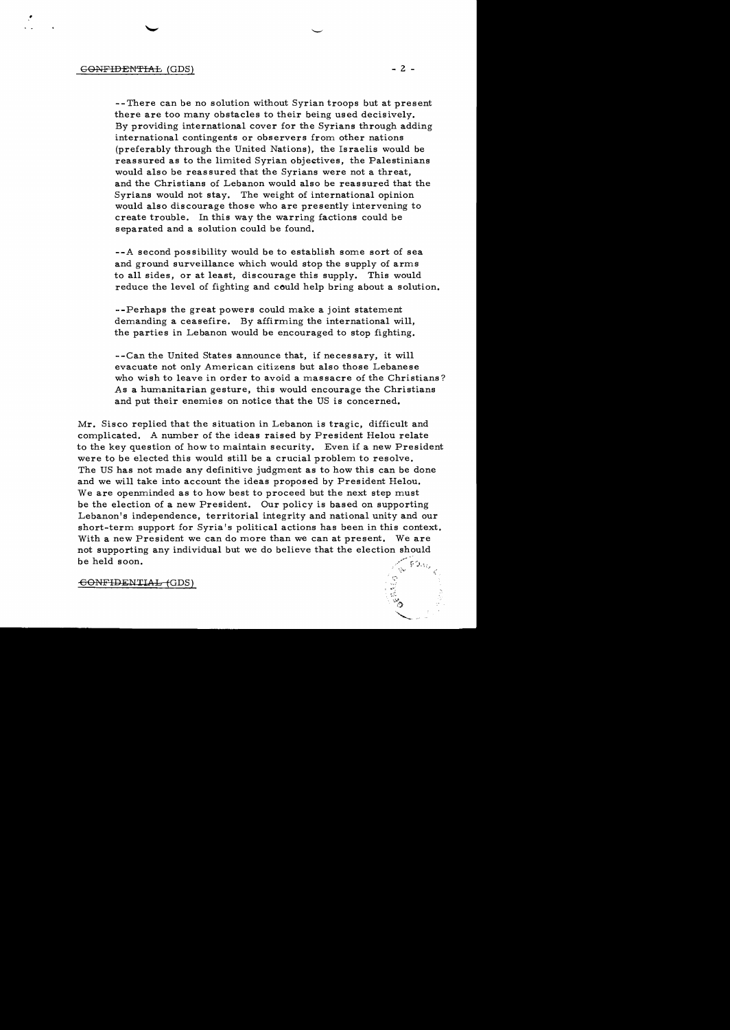--There can be no solution without Syrian troops but at present there are too many obstacles to their being used decisively. By providing international cover for the Syrians through adding international contingents or observers from other nations (preferably through the United Nations), the Israelis would be reassured as to the limited Syrian objectives, the Palestinians would also be reassured that the Syrians were not a threat, and the Christians of Lebanon would also be reassured that the Syrians would not stay. The weight of international opinion would also discourage those who are presently intervening to create trouble. In this way the warring factions could be separated and a solution could be found.

--A second possibility would be to establish some sort of sea and ground surveillance which would stop the supply of arms to all sides, or at least, discourage this supply. This would reduce the level of fighting and could help bring about a solution.

--Perhaps the great powers could make a joint statement demanding a ceasefire. By affirming the international will, the parties in Lebanon would be encouraged to stop fighting.

- -Can the United States announce that, if neces sary, it will evacuate not only American citizens but also those Lebanese who wish to leave in order to avoid a massacre of the Christians? As a humanitarian gesture, this would encourage the Christians and put their enemies on notice that the US is concerned.

Mr. Sisco replied that the situation in Lebanon is tragic, difficult and complicated. A number of the ideas raised by President Helou relate to the key question of how to maintain security. Even if a new President were to be elected this would still be a crucial problem to resolve. The US has not made any definitive judgment as to how this can be done and we will take into account the ideas proposed by President Helou. We are openminded as to how best to proceed but the next step must be the election of a new President. Our policy is based on supporting Lebanon's independence, territorial integrity and national unity and our short-term support for Syria's political actions has been in this context. With a new President we can do more than we can at present. We are not supporting any individual but we do believe that the election should be held soon.

GONFIDENTIAL-(GDS)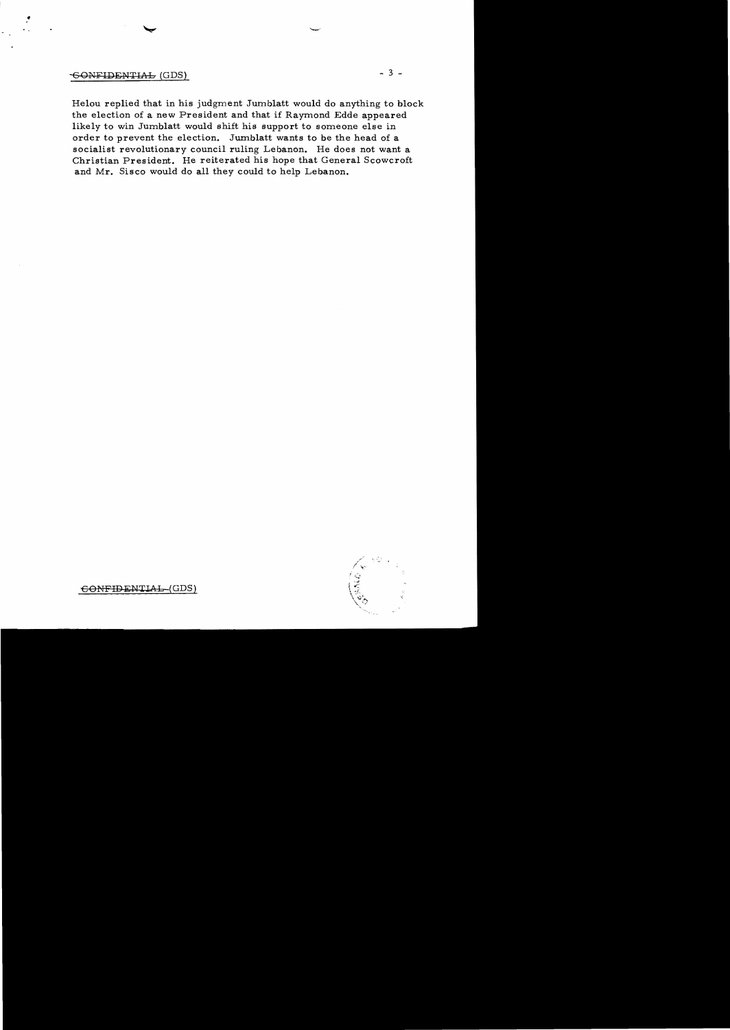## **GONFIDENTIAL (GDS)**

Helou replied that in his judgment Jumblatt would do anything to block the election of a new President and that if Raymond Edde appeared likely to win Jumblatt would shift his support to someone else in order to prevent the election. Jumblatt wants to be the head of a socialist revolutionary council ruling Lebanon. He does not want a Christian President. He reiterated his hope that General Scowcroft and Mr. Sisco would do all they could to help Lebanon.



 $-3 -$ 

CONFIDENTIAL (GDS)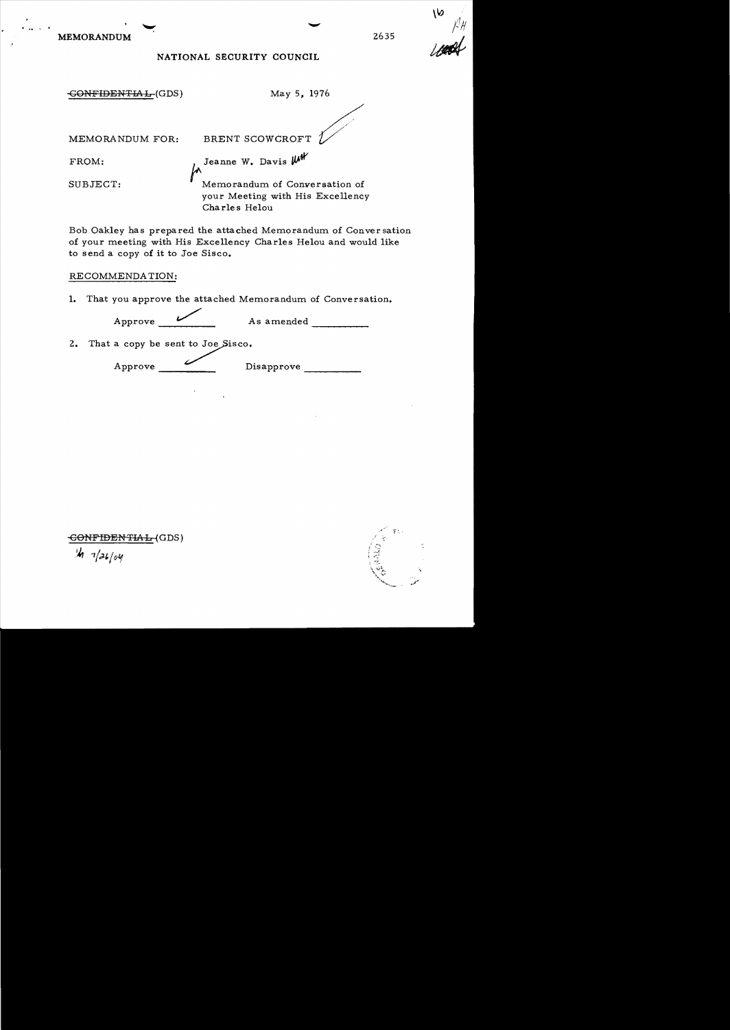MEMORANDUM 2635

**<II ••** , ..

NATIONAL SECURITY COUNCIL

 $\overline{GORITHM}$ . May 5, 1976 MEMORANDUM FOR: BRENT SCOWCROFT FROM: Jeanne W. Davis  $~\mathsf{\mu\mu}$ SUBJECT: Memorandum of Conversation of your Meeting with His Excellency Charles He10u

Bob Oakley has prepared the attached Memorandum of Conversation of your meeting with His Excellency Charles He10u and would like to send a copy of it to Joe Sisco.

## RECOMMENDA TION:

1. That you approve the attached Memorandum of Conversation.

----- Approve \_\_/\_\_\_ As amended

2. That a copy be sent to Joe  $Sisco.$ 

Approve Disapprove Disapprove

 $\overline{\text{COMFIDENTHAL}}$ (GDS)